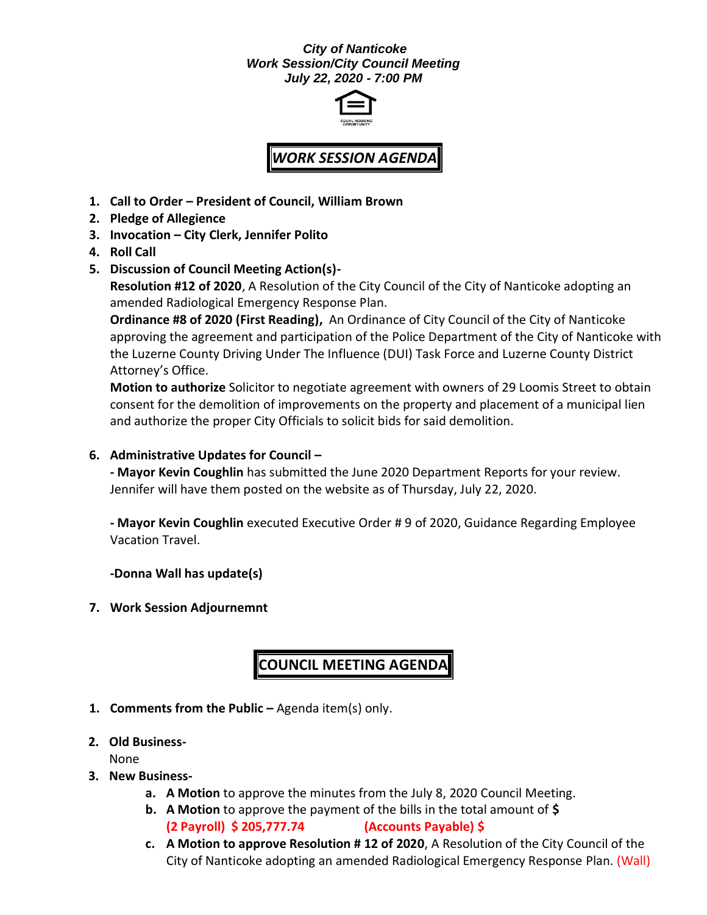### *City of Nanticoke Work Session/City Council Meeting July 22, 2020 - 7:00 PM*



# *WORK SESSION AGENDA*

- **1. Call to Order – President of Council, William Brown**
- **2. Pledge of Allegience**
- **3. Invocation – City Clerk, Jennifer Polito**
- **4. Roll Call**
- **5. Discussion of Council Meeting Action(s)- Resolution #12 of 2020**, A Resolution of the City Council of the City of Nanticoke adopting an

amended Radiological Emergency Response Plan.

**Ordinance #8 of 2020 (First Reading),** An Ordinance of City Council of the City of Nanticoke approving the agreement and participation of the Police Department of the City of Nanticoke with the Luzerne County Driving Under The Influence (DUI) Task Force and Luzerne County District Attorney's Office.

**Motion to authorize** Solicitor to negotiate agreement with owners of 29 Loomis Street to obtain consent for the demolition of improvements on the property and placement of a municipal lien and authorize the proper City Officials to solicit bids for said demolition.

### **6. Administrative Updates for Council –**

**- Mayor Kevin Coughlin** has submitted the June 2020 Department Reports for your review. Jennifer will have them posted on the website as of Thursday, July 22, 2020.

**- Mayor Kevin Coughlin** executed Executive Order # 9 of 2020, Guidance Regarding Employee Vacation Travel.

**-Donna Wall has update(s)**

**7. Work Session Adjournemnt**

## **COUNCIL MEETING AGENDA**

- **1. Comments from the Public –** Agenda item(s) only.
- **2. Old Business-**

None

- **3. New Business**
	- **a. A Motion** to approve the minutes from the July 8, 2020 Council Meeting.
	- **b. A Motion** to approve the payment of the bills in the total amount of **\$ (2 Payroll) \$ 205,777.74 (Accounts Payable) \$**
	- **c. A Motion to approve Resolution # 12 of 2020**, A Resolution of the City Council of the City of Nanticoke adopting an amended Radiological Emergency Response Plan. (Wall)